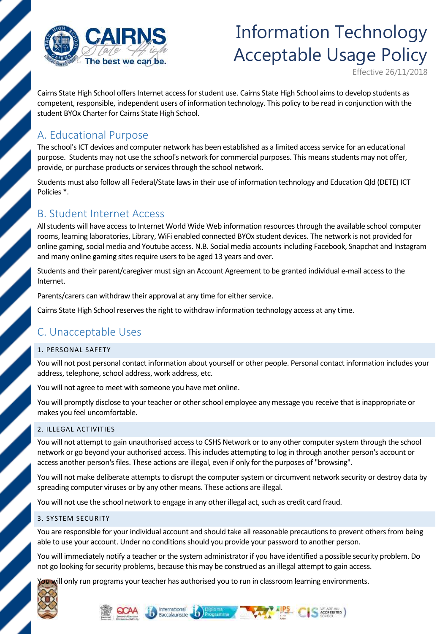

# Information Technology Acceptable Usage Policy

Effective 26/11/2018

Cairns State High School offers Internet access for student use. Cairns State High School aims to develop students as competent, responsible, independent users of information technology. This policy to be read in conjunction with the student BYOx Charter for Cairns State High School.

### A. Educational Purpose

The school's ICT devices and computer network has been established as a limited access service for an educational purpose. Students may not use the school's network for commercial purposes. This means students may not offer, provide, or purchase products or services through the school network.

Students must also follow all Federal/State laws in their use of information technology and Education Qld (DETE) ICT Policies \*.

### B. Student Internet Access

All students will have access to Internet World Wide Web information resources through the available school computer rooms, learning laboratories, Library, WiFi enabled connected BYOx student devices. The network is not provided for online gaming, social media and Youtube access. N.B. Social media accounts including Facebook, Snapchat and Instagram and many online gaming sites require users to be aged 13 years and over.

Students and their parent/caregiver must sign an Account Agreement to be granted individual e-mail access to the Internet.

Parents/carers can withdraw their approval at any time for either service.

Cairns State High School reserves the right to withdraw information technology access at any time.

## C. Unacceptable Uses

#### 1. PERSONAL SAFETY

You will not post personal contact information about yourself or other people. Personal contact information includes your address, telephone, school address, work address, etc.

You will not agree to meet with someone you have met online.

You will promptly disclose to your teacher or other school employee any message you receive that is inappropriate or makes you feel uncomfortable.

#### 2. ILLEGAL ACTIVITIES

You will not attempt to gain unauthorised access to CSHS Network or to any other computer system through the school network or go beyond your authorised access. This includes attempting to log in through another person's account or access another person's files. These actions are illegal, even if only for the purposes of "browsing".

You will not make deliberate attempts to disrupt the computer system or circumvent network security or destroy data by spreading computer viruses or by any other means. These actions are illegal.

You will not use the school network to engage in any other illegal act, such as credit card fraud.

#### 3. SYSTEM SECURITY

You are responsible for your individual account and should take all reasonable precautions to prevent others from being able to use your account. Under no conditions should you provide your password to another person.

You will immediately notify a teacher or the system administrator if you have identified a possible security problem. Do not go looking for security problems, because this may be construed as an illegal attempt to gain access.

ou will only run programs your teacher has authorised you to run in classroom learning environments.





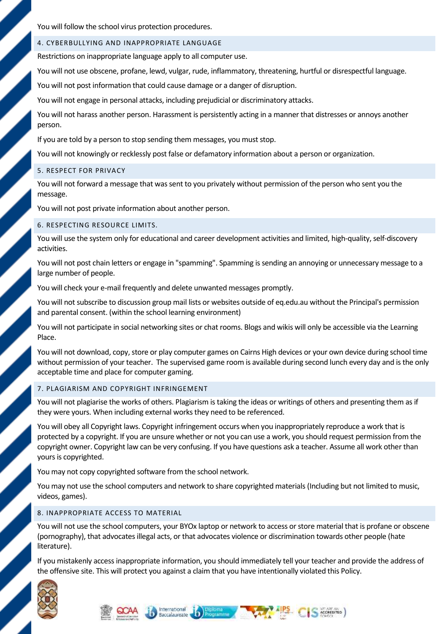You will follow the school virus protection procedures.

#### 4. CYBERBULLYING AND INAPPROPRIATE LANGUAGE

Restrictions on inappropriate language apply to all computer use.

You will not use obscene, profane, lewd, vulgar, rude, inflammatory, threatening, hurtful or disrespectful language.

You will not post information that could cause damage or a danger of disruption.

You will not engage in personal attacks, including prejudicial or discriminatory attacks.

You will not harass another person. Harassment is persistently acting in a manner that distresses or annoys another person.

If you are told by a person to stop sending them messages, you must stop.

You will not knowingly or recklessly post false or defamatory information about a person or organization.

#### 5. RESPECT FOR PRIVACY

You will not forward a message that was sent to you privately without permission of the person who sent you the message.

You will not post private information about another person.

#### 6. RESPECTING RESOURCE LIMITS.

You will use the system only for educational and career development activities and limited, high-quality, self-discovery activities.

You will not post chain letters or engage in "spamming". Spamming is sending an annoying or unnecessary message to a large number of people.

You will check your e-mail frequently and delete unwanted messages promptly.

You will not subscribe to discussion group mail lists or websites outside of eq.edu.au without the Principal's permission and parental consent. (within the school learning environment)

You will not participate in social networking sites or chat rooms. Blogs and wikis will only be accessible via the Learning Place.

You will not download, copy, store or play computer games on Cairns High devices or your own device during school time without permission of your teacher. The supervised game room is available during second lunch every day and is the only acceptable time and place for computer gaming.

#### 7. PLAGIARISM AND COPYRIGHT INFRINGEMENT

You will not plagiarise the works of others. Plagiarism is taking the ideas or writings of others and presenting them as if they were yours. When including external works they need to be referenced.

You will obey all Copyright laws. Copyright infringement occurs when you inappropriately reproduce a work that is protected by a copyright. If you are unsure whether or not you can use a work, you should request permission from the copyright owner. Copyright law can be very confusing. If you have questions ask a teacher. Assume all work other than yours is copyrighted.

You may not copy copyrighted software from the school network.

You may not use the school computers and network to share copyrighted materials (Including but not limited to music, videos, games).

#### 8. INAPPROPRIATE ACCESS TO MATERIAL

You will not use the school computers, your BYOx laptop or network to access or store material that is profane or obscene (pornography), that advocates illegal acts, or that advocates violence or discrimination towards other people (hate literature).

If you mistakenly access inappropriate information, you should immediately tell your teacher and provide the address of the offensive site. This will protect you against a claim that you have intentionally violated this Policy.